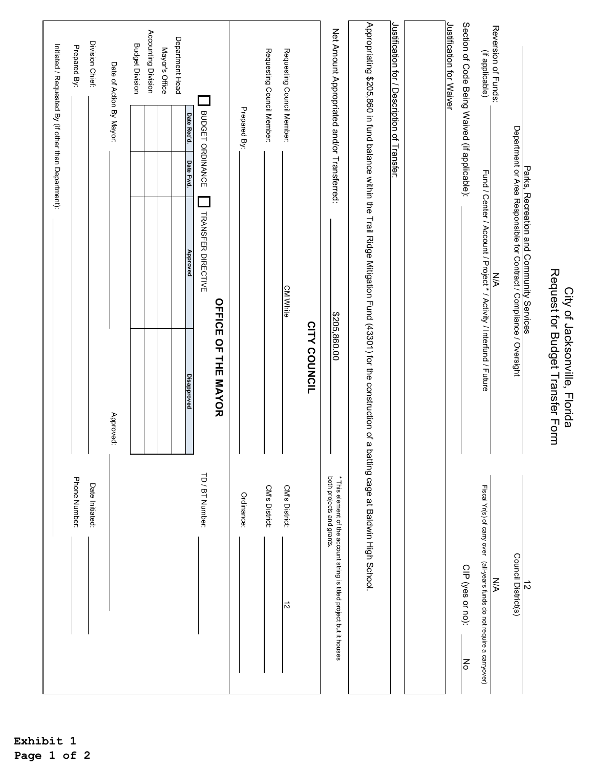|                                                                                                   |                                                                                                                                                       |                                                                                                                  |           |                  | Initiated / Requested By (if other than Department): |
|---------------------------------------------------------------------------------------------------|-------------------------------------------------------------------------------------------------------------------------------------------------------|------------------------------------------------------------------------------------------------------------------|-----------|------------------|------------------------------------------------------|
| Phone Number:                                                                                     |                                                                                                                                                       |                                                                                                                  |           |                  | Prepared By:                                         |
| Date Initiated:                                                                                   |                                                                                                                                                       |                                                                                                                  |           |                  | Division Chief:                                      |
|                                                                                                   | Approved:                                                                                                                                             |                                                                                                                  |           |                  | Date of Action By Mayor:                             |
|                                                                                                   |                                                                                                                                                       |                                                                                                                  |           |                  | <b>Budget Division</b>                               |
|                                                                                                   |                                                                                                                                                       |                                                                                                                  |           |                  | Accounting Division                                  |
|                                                                                                   |                                                                                                                                                       |                                                                                                                  |           |                  | Mayor's Office                                       |
|                                                                                                   | Disapproved                                                                                                                                           | Approved                                                                                                         | Date Fwd. | Date Rec'd.      | Department Head                                      |
| TD / BT Number:                                                                                   |                                                                                                                                                       | <b>TRANSFER DIRECTIVE</b>                                                                                        |           | BUDGET ORDINANCE |                                                      |
|                                                                                                   | <b>OFFICE OF THE MAYOR</b>                                                                                                                            |                                                                                                                  |           |                  |                                                      |
| Ordinance:                                                                                        |                                                                                                                                                       |                                                                                                                  |           | Prepared By:     |                                                      |
| CM's District:                                                                                    |                                                                                                                                                       |                                                                                                                  |           |                  | Requesting Council Member:                           |
| CM's District:<br>$\vec{v}$                                                                       |                                                                                                                                                       | <b>CM White</b>                                                                                                  |           |                  | Requesting Council Member:                           |
|                                                                                                   | CITY COUNCIL                                                                                                                                          |                                                                                                                  |           |                  |                                                      |
| both projects and grants.<br>* This element of the account string is titled project but it houses | \$205,860.00                                                                                                                                          |                                                                                                                  |           |                  | Net Amount Appropriated and/or Transferred:          |
|                                                                                                   | Appropriating \$205,860 in fund balance within the Trail Ridge Mitigation Fund (43301) for the construction of a batting cage at Baldwin High School. |                                                                                                                  |           |                  |                                                      |
|                                                                                                   |                                                                                                                                                       |                                                                                                                  |           |                  | Justification for / Description of Transfer:         |
|                                                                                                   |                                                                                                                                                       |                                                                                                                  |           |                  |                                                      |
|                                                                                                   |                                                                                                                                                       |                                                                                                                  |           |                  | Justification for Waiver                             |
| CIP (yes or no):<br>$\overline{\mathsf{S}}$                                                       |                                                                                                                                                       |                                                                                                                  |           |                  | Section of Code Being Waived (if applicable):        |
| Fiscal Yr(s) of carry over (all-years funds do not require a carryover)                           |                                                                                                                                                       | Fund / Center / Account / Project * / Activity / Interfund / Future                                              |           |                  | Reversion of Funds:<br>(if applicable)               |
| N/A                                                                                               |                                                                                                                                                       | <b>N/A</b>                                                                                                       |           |                  |                                                      |
| Council District(s)                                                                               |                                                                                                                                                       | Parks, Recreation and Community Services<br>Department or Area Responsible for Contract / Compliance / Oversight |           |                  |                                                      |
| $\vec{v}$                                                                                         |                                                                                                                                                       |                                                                                                                  |           |                  |                                                      |
|                                                                                                   | Request for Budget Transfer Form<br>City of Jacksonville, Florida                                                                                     |                                                                                                                  |           |                  |                                                      |